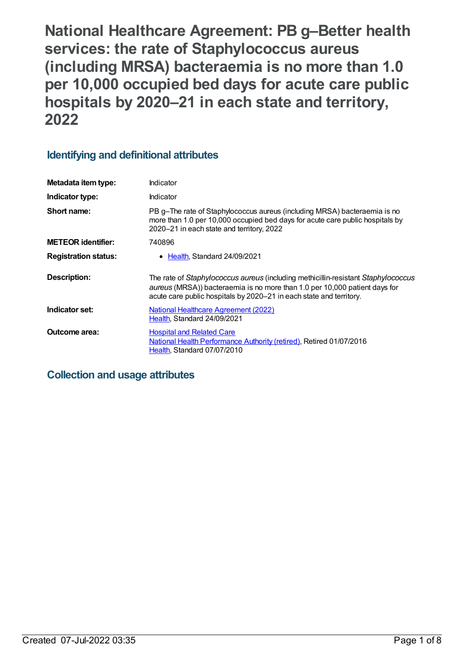**National Healthcare Agreement: PB g–Better health services: the rate of Staphylococcus aureus (including MRSA) bacteraemia is no more than 1.0 per 10,000 occupied bed days for acute care public hospitals by 2020–21 in each state and territory, 2022**

## **Identifying and definitional attributes**

| Metadata item type:         | Indicator                                                                                                                                                                                                                              |
|-----------------------------|----------------------------------------------------------------------------------------------------------------------------------------------------------------------------------------------------------------------------------------|
| Indicator type:             | Indicator                                                                                                                                                                                                                              |
| Short name:                 | PB g-The rate of Staphylococcus aureus (including MRSA) bacteraemia is no<br>more than 1.0 per 10,000 occupied bed days for acute care public hospitals by<br>2020-21 in each state and territory, 2022                                |
| <b>METEOR</b> identifier:   | 740896                                                                                                                                                                                                                                 |
| <b>Registration status:</b> | Health, Standard 24/09/2021                                                                                                                                                                                                            |
| Description:                | The rate of Staphylococcus aureus (including methicillin-resistant Staphylococcus<br>aureus (MRSA)) bacteraemia is no more than 1.0 per 10,000 patient days for<br>acute care public hospitals by 2020–21 in each state and territory. |
| Indicator set:              | <b>National Healthcare Agreement (2022)</b><br>Health, Standard 24/09/2021                                                                                                                                                             |
| Outcome area:               | <b>Hospital and Related Care</b><br>National Health Performance Authority (retired), Retired 01/07/2016<br>Health, Standard 07/07/2010                                                                                                 |

### **Collection and usage attributes**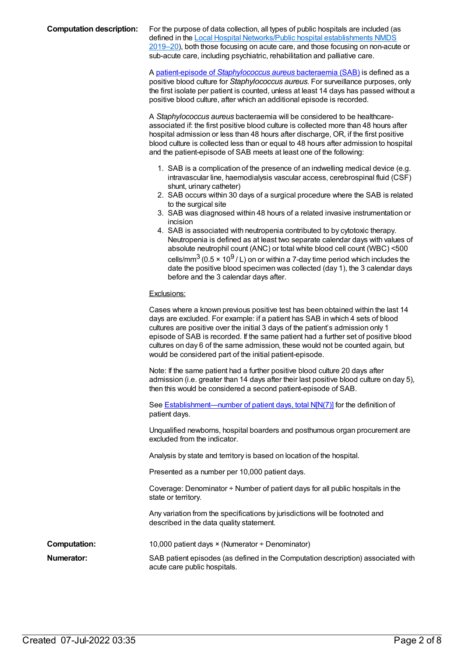#### **Computation description:** For the purpose of data collection, all types of public hospitals are included (as defined in the Local Hospital [Networks/Public](file:///content/706340) hospital establishments NMDS

2019–20), both those focusing on acute care, and those focusing on non-acute or sub-acute care, including psychiatric, rehabilitation and palliative care.

A patient-episode of *[Staphylococcus](file:///content/590503) aureus* bacteraemia (SAB) is defined as a positive blood culture for *Staphylococcus aureus*. For surveillance purposes, only the first isolate per patient is counted, unless at least 14 days has passed without a positive blood culture, after which an additional episode is recorded.

A *Staphylococcus aureus* bacteraemia will be considered to be healthcareassociated if: the first positive blood culture is collected more than 48 hours after hospital admission or less than 48 hours after discharge, OR, if the first positive blood culture is collected less than or equal to 48 hours after admission to hospital and the patient-episode of SAB meets at least one of the following:

- 1. SAB is a complication of the presence of an indwelling medical device (e.g. intravascular line, haemodialysis vascular access, cerebrospinal fluid (CSF) shunt, urinary catheter)
- 2. SAB occurs within 30 days of a surgical procedure where the SAB is related to the surgical site
- 3. SAB was diagnosed within 48 hours of a related invasive instrumentation or incision
- 4. SAB is associated with neutropenia contributed to by cytotoxic therapy. Neutropenia is defined as at least two separate calendar days with values of absolute neutrophil count (ANC) or total white blood cell count (WBC) <500 cells/mm $^3$  (0.5 × 10 $^9$  / L) on or within a 7-day time period which includes the date the positive blood specimen was collected (day 1), the 3 calendar days before and the 3 calendar days after.

#### Exclusions:

|                     | Cases where a known previous positive test has been obtained within the last 14<br>days are excluded. For example: if a patient has SAB in which 4 sets of blood<br>cultures are positive over the initial 3 days of the patient's admission only 1<br>episode of SAB is recorded. If the same patient had a further set of positive blood<br>cultures on day 6 of the same admission, these would not be counted again, but |
|---------------------|------------------------------------------------------------------------------------------------------------------------------------------------------------------------------------------------------------------------------------------------------------------------------------------------------------------------------------------------------------------------------------------------------------------------------|
|                     | would be considered part of the initial patient-episode.                                                                                                                                                                                                                                                                                                                                                                     |
|                     | Note: If the same patient had a further positive blood culture 20 days after<br>admission (i.e. greater than 14 days after their last positive blood culture on day 5),<br>then this would be considered a second patient-episode of SAB.                                                                                                                                                                                    |
|                     | See <b>Establishment—number of patient days, total N[N(7)]</b> for the definition of<br>patient days.                                                                                                                                                                                                                                                                                                                        |
|                     | Unqualified newborns, hospital boarders and posthumous organ procurement are<br>excluded from the indicator.                                                                                                                                                                                                                                                                                                                 |
|                     | Analysis by state and territory is based on location of the hospital.                                                                                                                                                                                                                                                                                                                                                        |
|                     | Presented as a number per 10,000 patient days.                                                                                                                                                                                                                                                                                                                                                                               |
|                     | Coverage: Denominator $\div$ Number of patient days for all public hospitals in the<br>state or territory.                                                                                                                                                                                                                                                                                                                   |
|                     | Any variation from the specifications by jurisdictions will be footnoted and<br>described in the data quality statement.                                                                                                                                                                                                                                                                                                     |
| <b>Computation:</b> | 10,000 patient days $\times$ (Numerator $\div$ Denominator)                                                                                                                                                                                                                                                                                                                                                                  |
| Numerator:          | SAB patient episodes (as defined in the Computation description) associated with<br>acute care public hospitals.                                                                                                                                                                                                                                                                                                             |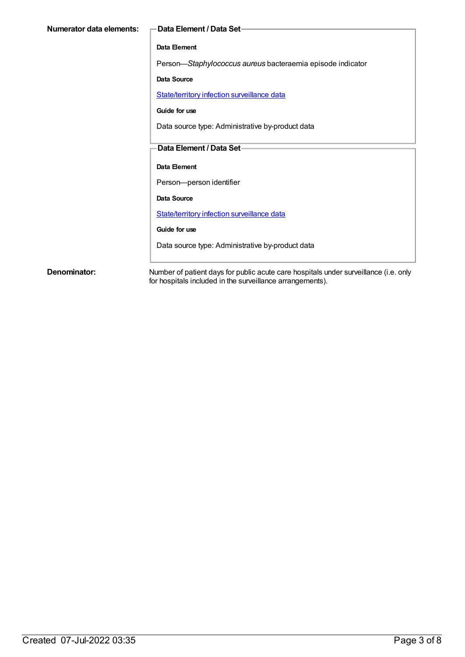| Numerator data elements: | -Data Element / Data Set-                                  |
|--------------------------|------------------------------------------------------------|
|                          | Data Element                                               |
|                          | Person-Staphylococcus aureus bacteraemia episode indicator |
|                          | Data Source                                                |
|                          | State/territory infection surveillance data                |
|                          | Guide for use                                              |
|                          | Data source type: Administrative by-product data           |
|                          | Data Element / Data Set-                                   |
|                          | Data Element                                               |
|                          | Person-person identifier                                   |
|                          | Data Source                                                |
|                          | State/territory infection surveillance data                |
|                          | Guide for use                                              |
|                          | Data source type: Administrative by-product data           |
|                          |                                                            |

**Denominator:** Number of patient days for public acute care hospitals under surveillance (i.e. only for hospitals included in the surveillance arrangements).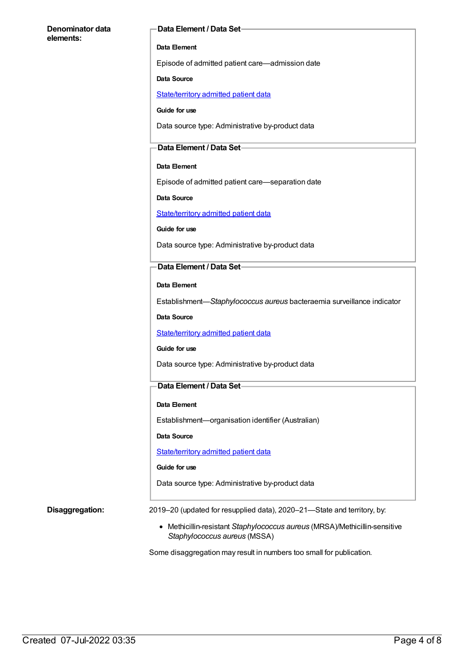#### **Denominator data elements:**

#### **Data Element / Data Set**

#### **Data Element**

Episode of admitted patient care—admission date

#### **Data Source**

[State/territory](https://meteor.aihw.gov.au/content/426458) admitted patient data

**Guide for use**

Data source type: Administrative by-product data

#### **Data Element / Data Set**

#### **Data Element**

Episode of admitted patient care—separation date

**Data Source**

[State/territory](https://meteor.aihw.gov.au/content/426458) admitted patient data

**Guide for use**

Data source type: Administrative by-product data

#### **Data Element / Data Set**

**Data Element**

Establishment—*Staphylococcus aureus* bacteraemia surveillance indicator

**Data Source**

[State/territory](https://meteor.aihw.gov.au/content/426458) admitted patient data

#### **Guide for use**

Data source type: Administrative by-product data

#### **Data Element / Data Set**

#### **Data Element**

Establishment—organisation identifier (Australian)

**Data Source**

[State/territory](https://meteor.aihw.gov.au/content/426458) admitted patient data

#### **Guide for use**

Data source type: Administrative by-product data

**Disaggregation:** 2019–20 (updated for resupplied data), 2020–21—State and territory, by:

Methicillin-resistant *Staphylococcus aureus* (MRSA)/Methicillin-sensitive *Staphylococcus aureus* (MSSA)

Some disaggregation may result in numbers too small for publication.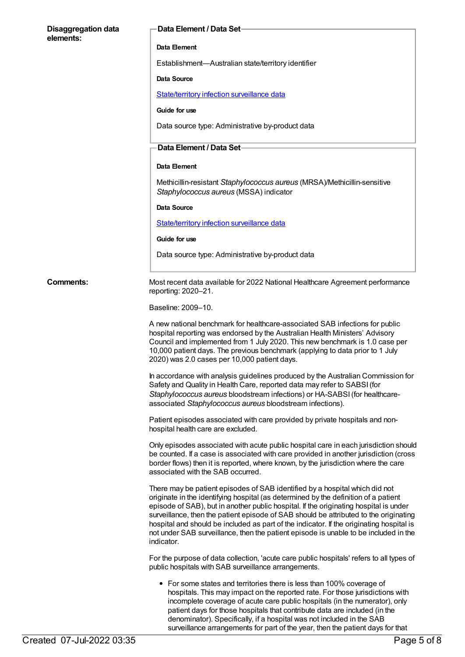### **Disaggregation data elements: Data Element / Data Set Data Element** Establishment—Australian state/territory identifier **Data Source** [State/territory](https://meteor.aihw.gov.au/content/402699) infection surveillance data **Guide for use** Data source type: Administrative by-product data **Data Element / Data Set Data Element** Methicillin-resistant *Staphylococcus aureus* (MRSA)/Methicillin-sensitive *Staphylococcus aureus* (MSSA) indicator **Data Source** [State/territory](https://meteor.aihw.gov.au/content/402699) infection surveillance data **Guide for use** Data source type: Administrative by-product data **Comments:** Most recent data available for 2022 National Healthcare Agreement performance reporting: 2020–21. Baseline: 2009–10. A new national benchmark for healthcare-associated SAB infections for public hospital reporting was endorsed by the Australian Health Ministers' Advisory Council and implemented from 1 July 2020. This new benchmark is 1.0 case per 10,000 patient days. The previous benchmark (applying to data prior to 1 July 2020) was 2.0 cases per 10,000 patient days. In accordance with analysis guidelines produced by the Australian Commission for Safety and Quality in Health Care, reported data may refer to SABSI(for *Staphylococcus aureus* bloodstream infections) or HA-SABSI(for healthcareassociated *Staphylococcus aureus* bloodstream infections). Patient episodes associated with care provided by private hospitals and nonhospital health care are excluded. Only episodes associated with acute public hospital care in each jurisdiction should be counted. If a case is associated with care provided in another jurisdiction (cross border flows) then it is reported, where known, by the jurisdiction where the care associated with the SAB occurred. There may be patient episodes of SAB identified by a hospital which did not originate in the identifying hospital (as determined by the definition of a patient episode of SAB), but in another public hospital. If the originating hospital is under surveillance, then the patient episode of SAB should be attributed to the originating hospital and should be included as part of the indicator. If the originating hospital is not under SAB surveillance, then the patient episode is unable to be included in the indicator. For the purpose of data collection, 'acute care public hospitals' refers to all types of public hospitals with SAB surveillance arrangements. • For some states and territories there is less than 100% coverage of hospitals. This may impact on the reported rate. For those jurisdictions with incomplete coverage of acute care public hospitals (in the numerator), only patient days for those hospitals that contribute data are included (in the denominator). Specifically, if a hospital was not included in the SAB

surveillance arrangements for part of the year, then the patient days for that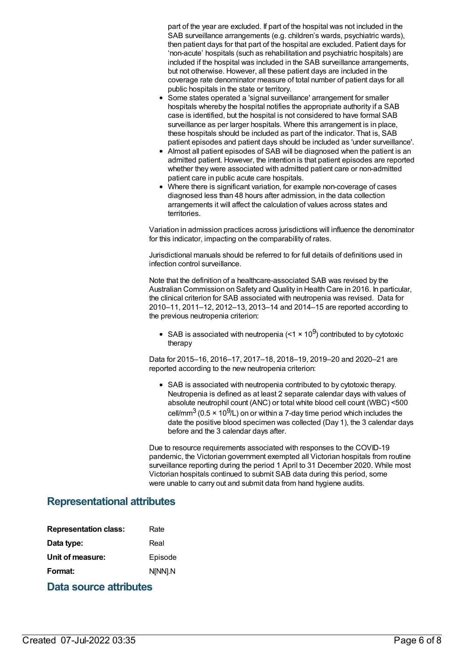part of the year are excluded. If part of the hospital was not included in the SAB surveillance arrangements (e.g. children's wards, psychiatric wards), then patient days for that part of the hospital are excluded. Patient days for 'non-acute' hospitals (such as rehabilitation and psychiatric hospitals) are included if the hospital was included in the SAB surveillance arrangements, but not otherwise. However, all these patient days are included in the coverage rate denominator measure of total number of patient days for all public hospitals in the state or territory.

- Some states operated a 'signal surveillance' arrangement for smaller hospitals whereby the hospital notifies the appropriate authority if a SAB case is identified, but the hospital is not considered to have formal SAB surveillance as per larger hospitals. Where this arrangement is in place, these hospitals should be included as part of the indicator. That is, SAB patient episodes and patient days should be included as 'under surveillance'.
- Almost all patient episodes of SAB will be diagnosed when the patient is an admitted patient. However, the intention is that patient episodes are reported whether they were associated with admitted patient care or non-admitted patient care in public acute care hospitals.
- Where there is significant variation, for example non-coverage of cases diagnosed less than 48 hours after admission, in the data collection arrangements it will affect the calculation of values across states and territories.

Variation in admission practices across jurisdictions will influence the denominator for this indicator, impacting on the comparability of rates.

Jurisdictional manuals should be referred to for full details of definitions used in infection control surveillance.

Note that the definition of a healthcare-associated SAB was revised by the Australian Commission on Safety and Quality in Health Care in 2016. In particular, the clinical criterion for SAB associated with neutropenia was revised. Data for 2010–11, 2011–12, 2012–13, 2013–14 and 2014–15 are reported according to the previous neutropenia criterion:

SAB is associated with neutropenia (<1  $\times$  10<sup>9</sup>) contributed to by cytotoxic therapy

Data for 2015–16, 2016–17, 2017–18, 2018–19, 2019–20 and 2020–21 are reported according to the new neutropenia criterion:

SAB is associated with neutropenia contributed to by cytotoxic therapy. Neutropenia is defined as at least 2 separate calendar days with values of absolute neutrophil count (ANC) or total white blood cell count (WBC) <500 cell/mm $^3$  (0.5 × 10 $^9$ /L) on or within a 7-day time period which includes the date the positive blood specimen was collected (Day 1), the 3 calendar days before and the 3 calendar days after.

Due to resource requirements associated with responses to the COVID-19 pandemic, the Victorian government exempted all Victorian hospitals from routine surveillance reporting during the period 1 April to 31 December 2020. While most Victorian hospitals continued to submit SAB data during this period, some were unable to carry out and submit data from hand hygiene audits.

### **Representational attributes**

| <b>Representation class:</b> | Rate    |
|------------------------------|---------|
| Data type:                   | Real    |
| Unit of measure:             | Episode |
| Format:                      | N[NN].N |
| Data source attributes       |         |